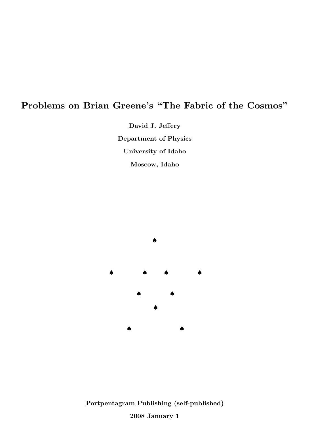# Problems on Brian Greene's "The Fabric of the Cosmos"

David J. Jeffery Department of Physics University of Idaho Moscow, Idaho



Portpentagram Publishing (self-published) 2008 January 1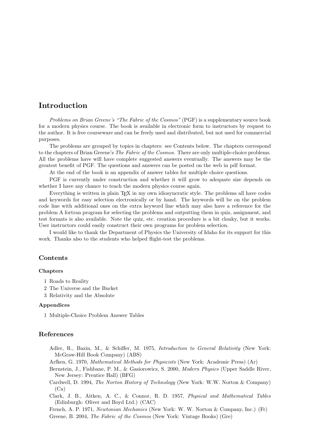## Introduction

Problems on Brian Greene's "The Fabric of the Cosmos" (PGF) is a supplementary source book for a modern physics course. The book is available in electronic form to instructors by request to the author. It is free courseware and can be freely used and distributed, but not used for commercial purposes.

The problems are grouped by topics in chapters: see Contents below. The chapters correspond to the chapters of Brian Greene's *The Fabric of the Cosmos*. There are only multiple-choice problems. All the problems have will have complete suggested answers eventually. The answers may be the greatest benefit of PGF. The questions and answers can be posted on the web in pdf format.

At the end of the book is an appendix of answer tables for multiple choice questions.

PGF is currently under construction and whether it will grow to adequate size depends on whether I have any chance to teach the modern physics course again.

Everything is written in plain T<sub>EX</sub> in my own idiosyncratic style. The problems all have codes and keywords for easy selection electronically or by hand. The keywords will be on the problem code line with additional ones on the extra keyword line which may also have a reference for the problem A fortran program for selecting the problems and outputting them in quiz, assignment, and test formats is also available. Note the quiz, etc. creation procedure is a bit clonky, but it works. User instructors could easily construct their own programs for problem selection.

I would like to thank the Department of Physics the University of Idaho for its support for this work. Thanks also to the students who helped flight-test the problems.

#### Contents

#### Chapters

- 1 Roads to Reality
- 2 The Universe and the Bucket
- 3 Relativity and the Absolute

#### Appendices

1 Multiple-Choice Problem Answer Tables

#### References

- Adler, R., Bazin, M., & Schiffer, M. 1975, Introduction to General Relativity (New York: McGraw-Hill Book Company) (ABS)
- Arfken, G. 1970, Mathematical Methods for Physicists (New York: Academic Press) (Ar)
- Bernstein, J., Fishbane, P. M., & Gasiorowicz, S. 2000, Modern Physics (Upper Saddle River, New Jersey: Prentice Hall) (BFG)
- Cardwell, D. 1994, The Norton History of Technology (New York: W.W. Norton & Company)  $(Ca)$

Clark, J. B., Aitken, A. C., & Connor, R. D. 1957, Physical and Mathematical Tables (Edinburgh: Oliver and Boyd Ltd.) (CAC)

French, A. P. 1971, Newtonian Mechanics (New York: W. W. Norton & Company, Inc.) (Fr)

Greene, B. 2004, The Fabric of the Cosmos (New York: Vintage Books) (Gre)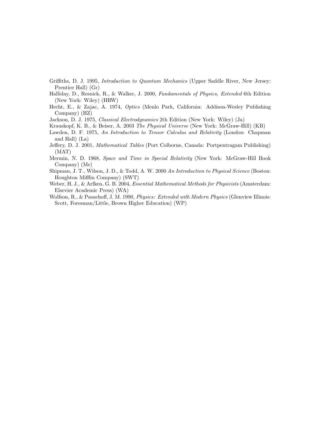- Griffiths, D. J. 1995, Introduction to Quantum Mechanics (Upper Saddle River, New Jersey: Prentice Hall) (Gr)
- Halliday, D., Resnick, R., & Walker, J. 2000, Fundamentals of Physics, Extended 6th Edition (New York: Wiley) (HRW)
- Hecht, E., & Zajac, A. 1974, Optics (Menlo Park, California: Addison-Wesley Publishing Company) (HZ)
- Jackson, D. J. 1975, Classical Electrodynamics 2th Edition (New York: Wiley) (Ja)
- Krauskopf, K. B., & Beiser, A. 2003 The Physical Universe (New York: McGraw-Hill) (KB)
- Lawden, D. F. 1975, An Introduction to Tensor Calculus and Relativity (London: Chapman and Hall) (La)
- Jeffery, D. J. 2001, Mathematical Tables (Port Colborne, Canada: Portpentragam Publishing) (MAT)
- Mermin, N. D. 1968, Space and Time in Special Relativity (New York: McGraw-Hill Book Company) (Me)
- Shipman, J. T., Wilson, J. D., & Todd, A. W. 2000 An Introduction to Physical Science (Boston: Houghton Mifflin Company) (SWT)
- Weber, H. J., & Arfken, G. B. 2004, *Essential Mathematical Methods for Physicists* (Amsterdam: Elsevier Academic Press) (WA)
- Wolfson, R., & Pasachoff, J. M. 1990, *Physics: Extended with Modern Physics* (Glenview Illinois: Scott, Foresman/Little, Brown Higher Education) (WP)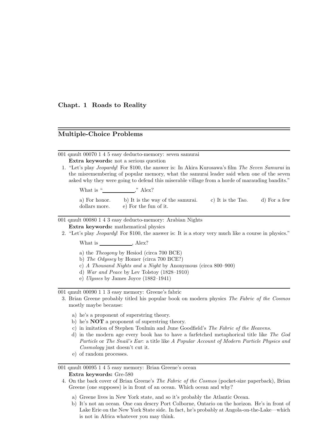Chapt. 1 Roads to Reality

### Multiple-Choice Problems

| 001 qmult 00070 1 4 5 easy deducto-memory: seven samurai |  |
|----------------------------------------------------------|--|
| <b>Extra keywords:</b> not a serious question            |  |

1. "Let's play Jeopardy! For \$100, the answer is: In Akira Kurosawa's film The Seven Samurai in the misremembering of popular memory, what the samurai leader said when one of the seven asked why they were going to defend this miserable village from a horde of marauding bandits."

What is "  $\qquad \qquad$  ," Alex?

a) For honor. b) It is the way of the samurai. c) It is the Tao. d) For a few dollars more. e) For the fun of it.

001 qmult 00080 1 4 3 easy deducto-memory: Arabian Nights Extra keywords: mathematical physics

2. "Let's play Jeopardy! For \$100, the answer is: It is a story very much like a course in physics."

What is , Alex?

- a) the Theogony by Hesiod (circa 700 BCE)
- b) The Odyssey by Homer (circa 700 BCE?)
- c) A Thousand Nights and a Night by Anonymous (circa 800–900)
- d) War and Peace by Lev Tolstoy (1828–1910)
- e) Ulysses by James Joyce (1882–1941)

001 qmult 00090 1 1 3 easy memory: Greene's fabric

- 3. Brian Greene probably titled his popular book on modern physics The Fabric of the Cosmos mostly maybe because:
	- a) he's a proponent of superstring theory.
	- b) he's NOT a proponent of superstring theory.
	- c) in imitation of Stephen Toulmin and June Goodfield's The Fabric of the Heavens.
	- d) in the modern age every book has to have a farfetched metaphorical title like The God Particle or The Snail's Ear: a title like A Popular Account of Modern Particle Physics and Cosmology just doesn't cut it.
	- e) of random processes.

001 qmult 00095 1 4 5 easy memory: Brian Greene's ocean Extra keywords: Gre-580

- 4. On the back cover of Brian Greene's The Fabric of the Cosmos (pocket-size paperback), Brian Greene (one supposes) is in front of an ocean. Which ocean and why?
	- a) Greene lives in New York state, and so it's probably the Atlantic Ocean.
	- b) It's not an ocean. One can descry Port Colborne, Ontario on the horizon. He's in front of Lake Erie on the New York State side. In fact, he's probably at Angola-on-the-Lake—which is not in Africa whatever you may think.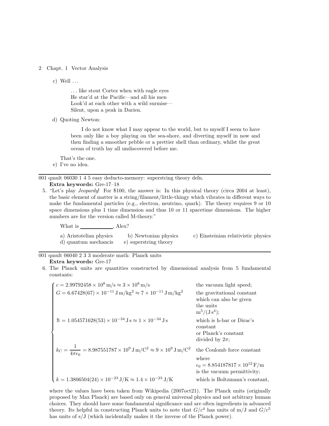#### 2 Chapt. 1 Vector Analysis

c) Well  $\dots$ 

. . . like stout Cortez when with eagle eyes He star'd at the Pacific—and all his men Look'd at each other with a wild surmise— Silent, upon a peak in Darien.

d) Quoting Newton:

I do not know what I may appear to the world, but to myself I seem to have been only like a boy playing on the sea-shore, and diverting myself in now and then finding a smoother pebble or a prettier shell than ordinary, whilst the great ocean of truth lay all undiscovered before me.

That's the one.

e) I've no idea.

001 qmult 06030 1 4 5 easy deducto-memory: superstring theory defn.

- Extra keywords: Gre-17–18
- 5. "Let's play Jeopardy! For \$100, the answer is: In this physical theory (circa 2004 at least), the basic element of matter is a string/filament/little-thingy which vibrates in different ways to make the fundamental particles (e.g., electron, neutrino, quark). The theory requires 9 or 10 space dimensions plus 1 time dimension and thus 10 or 11 spacetime dimensions. The higher numbers are for the version called M-theory."

What is , Alex?

| a) Aristotelian physics | b) Newtonian physics  | c) Einsteinian relativistic physics |
|-------------------------|-----------------------|-------------------------------------|
| d) quantum mechancis    | e) superstring theory |                                     |

001 qmult 06040 2 3 3 moderate math: Planck units

#### Extra keywords: Gre-17

6. The Planck units are quantities constructed by dimensional analysis from 5 fundamental constants:

| $\int c = 2.99792458 \times 10^8 \,\mathrm{m/s} \approx 3 \times 10^8 \,\mathrm{m/s}$                              | the vacuum light speed;                                                                                                     |
|--------------------------------------------------------------------------------------------------------------------|-----------------------------------------------------------------------------------------------------------------------------|
| $G = 6.67428(67) \times 10^{-11}$ J m/kg <sup>2</sup> $\approx 7 \times 10^{-11}$ J m/kg <sup>2</sup>              | the gravitational constant<br>which can also be given<br>the units<br>$m^5/(Js^4);$                                         |
| $\hbar = 1.054571628(53) \times 10^{-34}$ J s $\approx 1 \times 10^{-34}$ J s                                      | which is h-bar or Dirac's<br>constant<br>or Planck's constant<br>divided by $2\pi$ ;                                        |
| $k_C = \frac{1}{4\pi\epsilon_0} = 8.987551787 \times 10^9 \,\text{J m/C}^2 \approx 9 \times 10^9 \,\text{J m/C}^2$ | the Coulomb force constant<br>where<br>$\epsilon_0 = 8.854187817 \times 10^{12} \text{ F/m}$<br>is the vacuum permittivity; |
| $k = 1.3806504(24) \times 10^{-23} \text{ J/K} \approx 1.4 \times 10^{-23} \text{ J/K}$                            | which is Boltzmann's constant,                                                                                              |

where the values have been taken from Wikipedia (2007oct21). The Planck units (originally proposed by Max Planck) are based only on general universal physics and not arbitrary human choices. They should have some fundamental significance and are often ingredients in advanced theory. Its helpful in constructing Planck units to note that  $G/c^4$  has units of m/J and  $G/c^5$ has units of  $s/J$  (which incidentally makes it the inverse of the Planck power).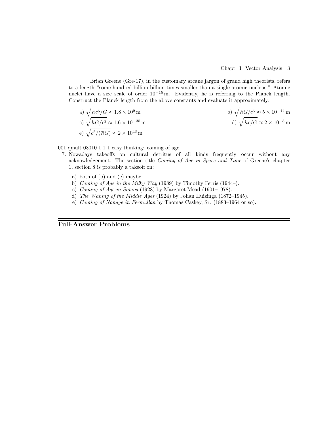Brian Greene (Gre-17), in the customary arcane jargon of grand high theorists, refers to a length "some hundred billion billion times smaller than a single atomic nucleus." Atomic nuclei have a size scale of order 10−<sup>15</sup> m. Evidently, he is referring to the Planck length. Construct the Planck length from the above constants and evaluate it approximately.

a) 
$$
\sqrt{\hbar c^5/G} \approx 1.8 \times 10^9 \text{ m}
$$
  
\nb)  $\sqrt{\hbar G/c^5} \approx 5 \times 10^{-44} \text{ m}$   
\nc)  $\sqrt{\hbar G/c^3} \approx 1.6 \times 10^{-35} \text{ m}$   
\nd)  $\sqrt{\hbar c/G} \approx 2 \times 10^{-8} \text{ m}$   
\ne)  $\sqrt{c^5/(\hbar G)} \approx 2 \times 10^{43} \text{ m}$ 

001 qmult 08010 1 1 1 easy thinking: coming of age

- 7. Nowadays takeoffs on cultural detritus of all kinds frequently occur without any acknowledgement. The section title Coming of Age in Space and Time of Greene's chapter 1, section 8 is probably a takeoff on:
	- a) both of (b) and (c) maybe.
	- b) Coming of Age in the Milky Way (1989) by Timothy Ferris (1944–).
	- c) Coming of Age in Somoa (1928) by Margaret Mead (1901–1978).
	- d) The Waning of the Middle Ages (1924) by Johan Huizinga (1872–1945).
	- e) Coming of Nonage in Fermullan by Thomas Caskey, Sr. (1883–1964 or so).

Full-Answer Problems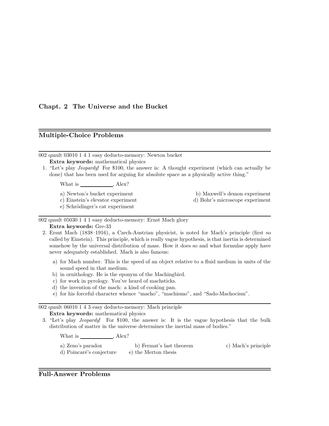### Chapt. 2 The Universe and the Bucket

#### Multiple-Choice Problems

002 qmult 03010 1 4 1 easy deducto-memory: Newton bucket Extra keywords: mathematical physics

1. "Let's play Jeopardy! For \$100, the answer is: A thought experiment (which can actually be done) that has been used for arguing for absolute space as a physically active thing."

What is  $\_\_\_\_\_\_\$  , Alex?

- a) Newton's bucket experiment b) Maxwell's demon experiment
- c) Einstein's elevator experiment d) Bohr's microscope experiment

e) Schrödinger's cat experiment

002 qmult 05030 1 4 1 easy deducto-memory: Ernst Mach glory Extra keywords: Gre-33

- 2. Ersnt Mach (1838–1916), a Czech-Austrian physicist, is noted for Mach's principle (first so called by Einstein). This principle, which is really vague hypothesis, is that inertia is determined somehow by the universal distribution of mass. How it does so and what formulae apply have never adequately established. Mach is also famous:
	- a) for Mach number. This is the speed of an object relative to a fluid medium in units of the sound speed in that medium.
	- b) in ornithology. He is the eponym of the Machingbird.
	- c) for work in pyrology. You've heard of machsticks.
	- d) the invention of the mach: a kind of cooking pan.
	- e) for his forceful character whence "macho", "machismo", and "Sado-Machocism".

002 qmult 06010 1 4 3 easy deducto-memory: Mach principle Extra keywords: mathematical physics

3. "Let's play Jeopardy! For \$100, the answer is: It is the vague hypothesis that the bulk distribution of matter in the universe determines the inertial mass of bodies."

What is , Alex?

- a) Zeno's paradox b) Fermat's last theorem c) Mach's principle
- d) Poincaré's conjecture e) the Merton thesis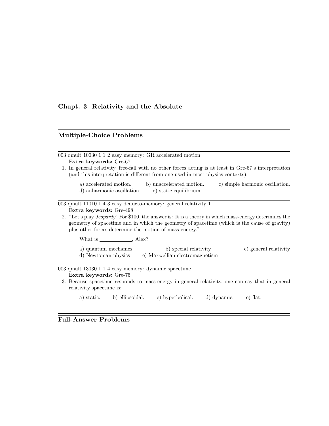## Chapt. 3 Relativity and the Absolute

# Multiple-Choice Problems

| 003 qmult 10030 1 1 2 easy memory: GR accelerated motion<br>Extra keywords: Gre-67                                                                                                                                                                                       |  |  |  |  |  |  |  |  |  |  |
|--------------------------------------------------------------------------------------------------------------------------------------------------------------------------------------------------------------------------------------------------------------------------|--|--|--|--|--|--|--|--|--|--|
| 1. In general relativity, free-fall with no other forces acting is at least in Gre-67's interpretation<br>(and this interpretation is different from one used in most physics contexts):                                                                                 |  |  |  |  |  |  |  |  |  |  |
| a) accelerated motion. b) unaccelerated motion.<br>c) simple harmonic oscillation.<br>d) anharmonic oscillation.<br>e) static equilibrium.                                                                                                                               |  |  |  |  |  |  |  |  |  |  |
| 003 qmult 11010 1 4 3 easy deducto-memory: general relativity 1                                                                                                                                                                                                          |  |  |  |  |  |  |  |  |  |  |
| Extra keywords: Gre-498                                                                                                                                                                                                                                                  |  |  |  |  |  |  |  |  |  |  |
| 2. "Let's play <i>Jeopardy</i> ! For \$100, the answer is: It is a theory in which mass-energy determines the<br>geometry of spacetime and in which the geometry of spacetime (which is the cause of gravity)<br>plus other forces determine the motion of mass-energy." |  |  |  |  |  |  |  |  |  |  |
| What is $\_\_\_\_\_\_\_\_\$ Alex?                                                                                                                                                                                                                                        |  |  |  |  |  |  |  |  |  |  |
| a) quantum mechanics b) special relativity<br>c) general relativity<br>d) Newtonian physics (e) Maxwellian electromagnetism                                                                                                                                              |  |  |  |  |  |  |  |  |  |  |
| 003 qmult 13030 1 1 4 easy memory: dynamic spacetime                                                                                                                                                                                                                     |  |  |  |  |  |  |  |  |  |  |
| Extra keywords: Gre-75                                                                                                                                                                                                                                                   |  |  |  |  |  |  |  |  |  |  |
| 3. Because spacetime responds to mass-energy in general relativity, one can say that in general<br>relativity spacetime is:                                                                                                                                              |  |  |  |  |  |  |  |  |  |  |

a) static. b) ellipsoidal. c) hyperbolical. d) dynamic. e) flat.

# Full-Answer Problems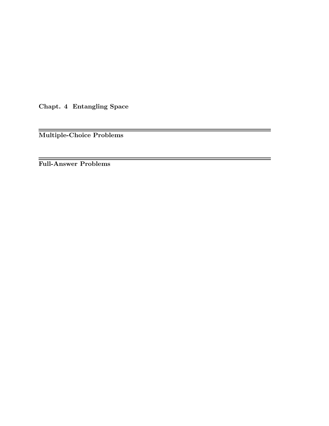Chapt. 4 Entangling Space

Multiple-Choice Problems

ł,

Full-Answer Problems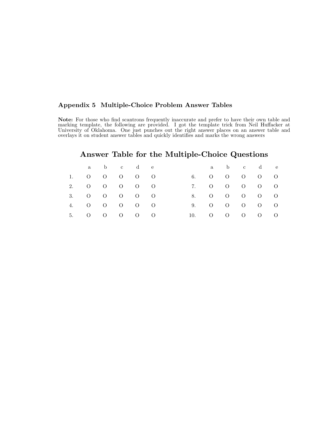#### Appendix 5 Multiple-Choice Problem Answer Tables

Note: For those who find scantrons frequently inaccurate and prefer to have their own table and marking template, the following are provided. I got the template trick from Neil Huffacker at University of Oklahoma. One just punches out the right answer places on an answer table and overlays it on student answer tables and quickly identifies and marks the wrong answers

# Answer Table for the Multiple-Choice Questions

|  | a b c d e    |  |  |     | a b c d e                   |  |  |
|--|--------------|--|--|-----|-----------------------------|--|--|
|  | 1. 0 0 0 0 0 |  |  |     | 6. 0 0 0 0 0                |  |  |
|  | 2. 0 0 0 0 0 |  |  |     | 7. 0 0 0 0 0                |  |  |
|  | 3. 0 0 0 0 0 |  |  |     | 8. 0 0 0 0 0                |  |  |
|  | 4. 0 0 0 0 0 |  |  |     | 9. 0 0 0 0 0                |  |  |
|  | 5. 0 0 0 0 0 |  |  | 10. | $0 \quad 0 \quad 0 \quad 0$ |  |  |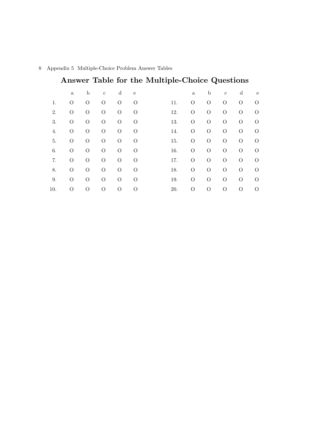|     |              |          |              |                |             | Answer Table for the Multiple-Choice Questions |              |             |              |          |            |
|-----|--------------|----------|--------------|----------------|-------------|------------------------------------------------|--------------|-------------|--------------|----------|------------|
|     | $\mathbf{a}$ | b        | $\mathbf{c}$ | d              | $\mathbf e$ |                                                | $\mathbf{a}$ | $\mathbf b$ | $\mathbf{c}$ | d        | e          |
| 1.  | O            | $\Omega$ | $\Omega$     | O              | O           | 11.                                            | O            | O           | $\Omega$     | $\Omega$ | $\bigcirc$ |
| 2.  | O            | $\Omega$ | $\Omega$     | $\Omega$       | $\Omega$    | 12.                                            | Ω            | $\Omega$    | $\Omega$     | $\Omega$ | $\Omega$   |
| 3.  | O            | $\Omega$ | $\Omega$     | $\Omega$       | O           | 13.                                            | $\Omega$     | $\Omega$    | $\Omega$     | $\Omega$ | $\Omega$   |
| 4.  | O            | $\Omega$ | $\Omega$     | O              | O           | 14.                                            | $\Omega$     | $\Omega$    | $\Omega$     | $\Omega$ | $\Omega$   |
| 5.  | O            | $\Omega$ | $\Omega$     | $\Omega$       | $\Omega$    | 15.                                            | $\Omega$     | $\Omega$    | $\Omega$     | $\Omega$ | $\bigcirc$ |
| 6.  | О            | $\Omega$ | $\Omega$     | $\Omega$       | $\Omega$    | 16.                                            | $\Omega$     | $\Omega$    | $\Omega$     | $\Omega$ | $\Omega$   |
| 7.  | $\Omega$     | $\Omega$ | $\Omega$     | $\overline{O}$ | $\Omega$    | 17.                                            | $\Omega$     | $\Omega$    | $\Omega$     | $\Omega$ | $\Omega$   |
| 8.  | $\Omega$     | $\Omega$ | $\Omega$     | $\Omega$       | $\Omega$    | 18.                                            | $\Omega$     | $\Omega$    | $\Omega$     | $\Omega$ | $\Omega$   |
| 9.  | $\Omega$     | $\Omega$ | $\Omega$     | $\Omega$       | $\Omega$    | 19.                                            | $\Omega$     | $\Omega$    | $\Omega$     | $\Omega$ | ∩          |
| 10. | O            | $\Omega$ | $\Omega$     | $\Omega$       | $\Omega$    | 20.                                            | $\Omega$     | O           | $\Omega$     | $\Omega$ | $\bigcirc$ |

## 8 Appendix 5 Multiple-Choice Problem Answer Tables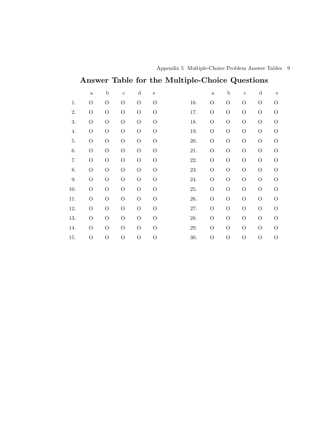|     |                |                |                |                |                | Answer Table for the Multiple-Choice Questions |                |                                  |                |              |
|-----|----------------|----------------|----------------|----------------|----------------|------------------------------------------------|----------------|----------------------------------|----------------|--------------|
|     | $\rm{a}$       | $\mathbf b$    | $\mathbf c$    | $\mathbf d$    | $\rm e$        |                                                | $\rm{a}$       | $\mathbf b$<br>$\mathbf c$       | d              | $\mathbf{e}$ |
| 1.  | $\mathcal{O}$  | $\overline{O}$ | $\overline{O}$ | $\overline{O}$ | $\rm{O}$       | 16.                                            | $\overline{O}$ | $\overline{O}$<br>$\overline{O}$ | $\mathcal{O}$  | О            |
| 2.  | $\overline{O}$ | $\overline{O}$ | $\overline{O}$ | $\Omega$       | О              | 17.                                            | $\overline{O}$ | $\overline{O}$<br>$\Omega$       | O              | $\Omega$     |
| 3.  | O              | $\overline{O}$ | O              | $\overline{O}$ | $\rm{O}$       | 18.                                            | $\rm{O}$       | $\overline{O}$<br>$\overline{O}$ | O              | O            |
| 4.  | О              | $\overline{O}$ | $\overline{O}$ | $\rm{O}$       | О              | 19.                                            | $\rm{O}$       | $\overline{O}$<br>$\Omega$       | O              | $\Omega$     |
| 5.  | O              | $\overline{O}$ | $\overline{O}$ | $\rm{O}$       | $\rm{O}$       | 20.                                            | $\mathcal{O}$  | $\overline{O}$<br>$\Omega$       | O              | O            |
| 6.  | $\overline{O}$ | $\overline{O}$ | O              | $\overline{O}$ | $\overline{O}$ | 21.                                            | $\mathcal{O}$  | $\overline{O}$<br>$\overline{O}$ | $\mathcal{O}$  | O            |
| 7.  | $\overline{O}$ | $\overline{O}$ | $\overline{O}$ | $\overline{O}$ | О              | 22.                                            | $\overline{O}$ | $\overline{O}$<br>$\overline{O}$ | $\mathcal{O}$  | O            |
| 8.  | O              | $\overline{O}$ | $\overline{O}$ | $\overline{O}$ | О              | 23.                                            | $\rm{O}$       | $\overline{O}$<br>$\Omega$       | O              | $\Omega$     |
| 9.  | O              | $\overline{O}$ | O              | $\Omega$       | О              | 24.                                            | $\mathcal{O}$  | $\overline{O}$<br>$\Omega$       | O              | $\Omega$     |
| 10. | $\overline{O}$ | $\overline{O}$ | $\overline{O}$ | $\overline{O}$ | О              | 25.                                            | $\overline{O}$ | $\overline{O}$<br>$\overline{O}$ | $\overline{O}$ | O            |
| 11. | O              | $\Omega$       | O              | $\Omega$       | $\rm{O}$       | 26.                                            | $\mathcal{O}$  | $\overline{O}$<br>$\overline{O}$ | O              | $\Omega$     |
| 12. | O              | $\overline{O}$ | $\overline{O}$ | $\overline{O}$ | О              | 27.                                            | $\overline{O}$ | $\overline{O}$<br>$\overline{O}$ | O              | О            |
| 13. | $\Omega$       | $\overline{O}$ | O              | $\Omega$       | О              | 28.                                            | $\rm{O}$       | $\overline{O}$<br>$\Omega$       | O              | O            |
| 14. | $\Omega$       | $\Omega$       | $\Omega$       | $\overline{O}$ | O              | 29.                                            | $\Omega$       | $\overline{O}$<br>$\Omega$       | $\mathcal{O}$  | $\Omega$     |
| 15. | O              | О              | $\overline{O}$ | $\overline{O}$ | O              | 30.                                            | $\overline{O}$ | $\overline{O}$<br>$\overline{O}$ | О              | О            |

Appendix 5 Multiple-Choice Problem Answer Tables 9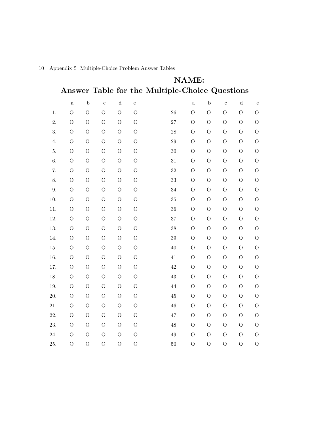|          |                | <b>NAME:</b>   |                |                |                |                                                |                |                |                |                                  |  |  |
|----------|----------------|----------------|----------------|----------------|----------------|------------------------------------------------|----------------|----------------|----------------|----------------------------------|--|--|
|          |                |                |                |                |                | Answer Table for the Multiple-Choice Questions |                |                |                |                                  |  |  |
|          | $\rm{a}$       | $\mathbf b$    | $\rm c$        | ${\rm d}$      | $\rm e$        |                                                | $\mathbf{a}$   | $\mathbf b$    | $\mathbf c$    | ${\rm d}$<br>$\mathbf e$         |  |  |
| 1.       | $\overline{O}$ | $\overline{O}$ | $\overline{O}$ | $\overline{O}$ | $\overline{O}$ | 26.                                            | $\overline{O}$ | $\overline{O}$ | $\overline{O}$ | $\overline{O}$<br>$\overline{O}$ |  |  |
| 2.       | $\mathcal{O}$  | $\mathcal{O}$  | $\overline{O}$ | $\overline{O}$ | $\overline{O}$ | 27.                                            | $\mathcal{O}$  | $\mathcal{O}$  | $\mathcal{O}$  | $\overline{O}$<br>$\mathcal{O}$  |  |  |
| 3.       | $\overline{O}$ | $\overline{O}$ | $\mathcal{O}$  | $\mathcal{O}$  | $\mathcal{O}$  | 28.                                            | $\overline{O}$ | $\mathcal{O}$  | $\overline{O}$ | $\mathcal{O}$<br>$\overline{O}$  |  |  |
| 4.       | $\overline{O}$ | $\mathcal{O}$  | $\mathcal{O}$  | $\mathcal{O}$  | $\overline{O}$ | 29.                                            | $\mathcal{O}$  | $\overline{O}$ | $\mathcal{O}$  | $\mathcal{O}$<br>$\mathcal{O}$   |  |  |
| 5.       | $\mathcal{O}$  | $\mathcal{O}$  | $\mathcal{O}$  | $\mathcal{O}$  | $\overline{O}$ | 30.                                            | $\mathcal{O}$  | $\mathcal{O}$  | $\mathcal{O}$  | $\overline{O}$<br>$\overline{O}$ |  |  |
| 6.       | $\mathcal{O}$  | $\overline{O}$ | $\overline{O}$ | $\overline{O}$ | $\mathcal{O}$  | 31.                                            | $\overline{O}$ | $\overline{O}$ | $\overline{O}$ | $\overline{O}$<br>$\mathcal{O}$  |  |  |
| 7.       | $\overline{O}$ | $\mathcal{O}$  | $\mathcal{O}$  | $\overline{O}$ | $\overline{O}$ | 32.                                            | $\overline{O}$ | $\mathcal{O}$  | $\overline{O}$ | $\overline{O}$<br>$\mathcal{O}$  |  |  |
| 8.       | $\mathcal{O}$  | $\mathcal{O}$  | $\mathcal{O}$  | $\mathcal{O}$  | $\overline{O}$ | 33.                                            | $\overline{O}$ | $\mathcal{O}$  | $\mathcal{O}$  | $\overline{O}$<br>$\overline{O}$ |  |  |
| 9.       | $\overline{O}$ | $\overline{O}$ | $\overline{O}$ | $\overline{O}$ | $\mathcal{O}$  | 34.                                            | $\overline{O}$ | $\overline{O}$ | $\overline{O}$ | $\overline{O}$<br>$\mathcal{O}$  |  |  |
| 10.      | $\overline{O}$ | $\mathcal{O}$  | $\mathcal{O}$  | $\mathcal{O}$  | $\overline{O}$ | 35.                                            | $\mathcal{O}$  | $\mathcal{O}$  | $\overline{O}$ | $\overline{O}$<br>$\overline{O}$ |  |  |
| 11.      | $\mathcal{O}$  | $\mathcal{O}$  | $\mathcal{O}$  | $\mathcal{O}$  | O              | 36.                                            | $\overline{O}$ | $\mathcal{O}$  | $\mathcal{O}$  | $\overline{O}$<br>$\overline{O}$ |  |  |
| 12.      | $\overline{O}$ | $\mathcal{O}$  | $\overline{O}$ | $\mathcal{O}$  | $\overline{O}$ | 37.                                            | $\mathcal{O}$  | $\overline{O}$ | $\mathcal{O}$  | $\overline{O}$<br>$\overline{O}$ |  |  |
| 13.      | $\mathcal{O}$  | $\mathcal{O}$  | $\mathcal{O}$  | $\overline{O}$ | $\overline{O}$ | 38.                                            | $\overline{O}$ | $\mathcal{O}$  | $\mathcal{O}$  | $\mathcal{O}$<br>$\mathcal{O}$   |  |  |
| 14.      | $\mathcal{O}$  | $\mathcal{O}$  | $\mathcal{O}$  | $\overline{O}$ | $\mathcal{O}$  | 39.                                            | $\overline{O}$ | $\mathcal{O}$  | $\mathcal{O}$  | $\overline{O}$<br>$\overline{O}$ |  |  |
| 15.      | $\overline{O}$ | $\overline{O}$ | $\overline{O}$ | $\mathcal{O}$  | $\overline{O}$ | 40.                                            | $\mathcal{O}$  | $\overline{O}$ | $\overline{O}$ | $\overline{O}$<br>$\overline{O}$ |  |  |
| 16.      | $\overline{O}$ | $\mathcal{O}$  | $\overline{O}$ | $\mathcal{O}$  | $\mathcal{O}$  | 41.                                            | $\overline{O}$ | $\overline{O}$ | $\mathcal{O}$  | $\overline{O}$<br>$\mathcal{O}$  |  |  |
| 17.      | $\overline{O}$ | $\overline{O}$ | $\mathcal{O}$  | $\mathcal{O}$  | $\overline{O}$ | 42.                                            | $\mathcal{O}$  | $\overline{O}$ | $\overline{O}$ | $\mathcal{O}$<br>$\overline{O}$  |  |  |
| 18.      | $\mathcal{O}$  | $\overline{O}$ | $\overline{O}$ | $\mathcal{O}$  | $\overline{O}$ | 43.                                            | $\mathcal{O}$  | $\overline{O}$ | $\mathcal{O}$  | $\overline{O}$<br>$\overline{O}$ |  |  |
| 19.      | $\mathcal{O}$  | $\mathcal{O}$  | $\overline{O}$ | $\overline{O}$ | $\mathcal{O}$  | 44.                                            | $\overline{O}$ | $\overline{O}$ | $\mathcal{O}$  | $\overline{O}$<br>$\mathcal{O}$  |  |  |
| 20.      | $\overline{O}$ | $\overline{O}$ | $\mathcal{O}$  | $\overline{O}$ | $\overline{O}$ | 45.                                            | $\mathcal{O}$  | $\overline{O}$ | $\overline{O}$ | $\overline{O}$<br>$\overline{O}$ |  |  |
| $21. \,$ | $\overline{O}$ | $\overline{O}$ | $\overline{O}$ | $\mathcal{O}$  | $\overline{O}$ | 46.                                            | $\mathcal{O}$  | $\overline{O}$ | $\mathcal{O}$  | $\overline{O}$<br>$\mathcal{O}$  |  |  |
| 22.      | $\mathcal{O}$  | $\mathcal{O}$  | $\overline{O}$ | $\overline{O}$ | $\mathcal{O}$  | 47.                                            | $\overline{O}$ | $\overline{O}$ | $\mathcal{O}$  | $\overline{O}$<br>$\mathcal{O}$  |  |  |
| 23.      | $\overline{O}$ | $\overline{O}$ | $\overline{O}$ | $\overline{O}$ | $\overline{O}$ | 48.                                            | $\mathcal{O}$  | $\overline{O}$ | $\overline{O}$ | $\overline{O}$<br>$\overline{O}$ |  |  |
| 24.      | $\overline{O}$ | $\mathcal{O}$  | $\mathcal{O}$  | $\mathcal{O}$  | $\mathcal{O}$  | 49.                                            | $\mathcal{O}$  | $\overline{O}$ | $\mathcal{O}$  | $\overline{O}$<br>$\mathcal{O}$  |  |  |
| 25.      | $\overline{O}$ | $\overline{O}$ | $\overline{O}$ | $\overline{O}$ | $\overline{O}$ | 50.                                            | $\overline{O}$ | $\overline{O}$ | $\overline{O}$ | $\overline{O}$<br>$\overline{O}$ |  |  |

10 Appendix 5 Multiple-Choice Problem Answer Tables